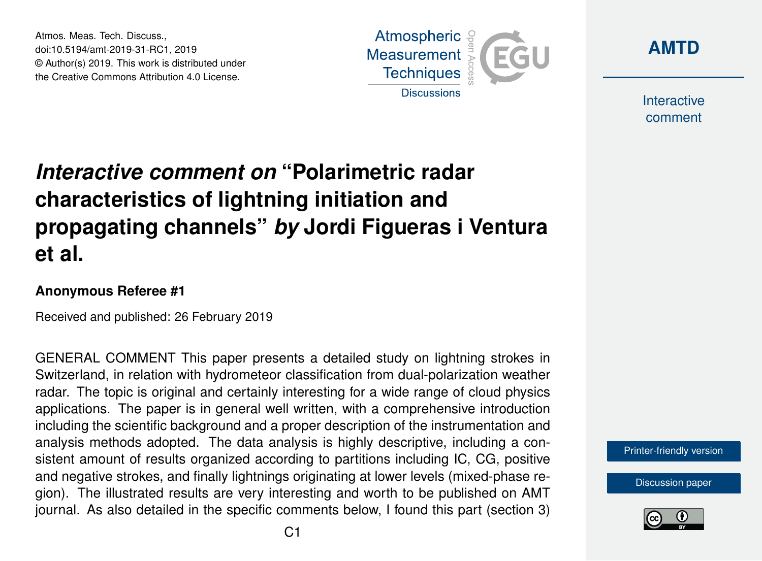Atmos. Meas. Tech. Discuss., doi:10.5194/amt-2019-31-RC1, 2019 © Author(s) 2019. This work is distributed under the Creative Commons Attribution 4.0 License.





**Interactive** comment

## *Interactive comment on* **"Polarimetric radar characteristics of lightning initiation and propagating channels"** *by* **Jordi Figueras i Ventura et al.**

## **Anonymous Referee #1**

Received and published: 26 February 2019

GENERAL COMMENT This paper presents a detailed study on lightning strokes in Switzerland, in relation with hydrometeor classification from dual-polarization weather radar. The topic is original and certainly interesting for a wide range of cloud physics applications. The paper is in general well written, with a comprehensive introduction including the scientific background and a proper description of the instrumentation and analysis methods adopted. The data analysis is highly descriptive, including a consistent amount of results organized according to partitions including IC, CG, positive and negative strokes, and finally lightnings originating at lower levels (mixed-phase region). The illustrated results are very interesting and worth to be published on AMT journal. As also detailed in the specific comments below, I found this part (section 3)

[Printer-friendly version](https://www.atmos-meas-tech-discuss.net/amt-2019-31/amt-2019-31-RC1-print.pdf)

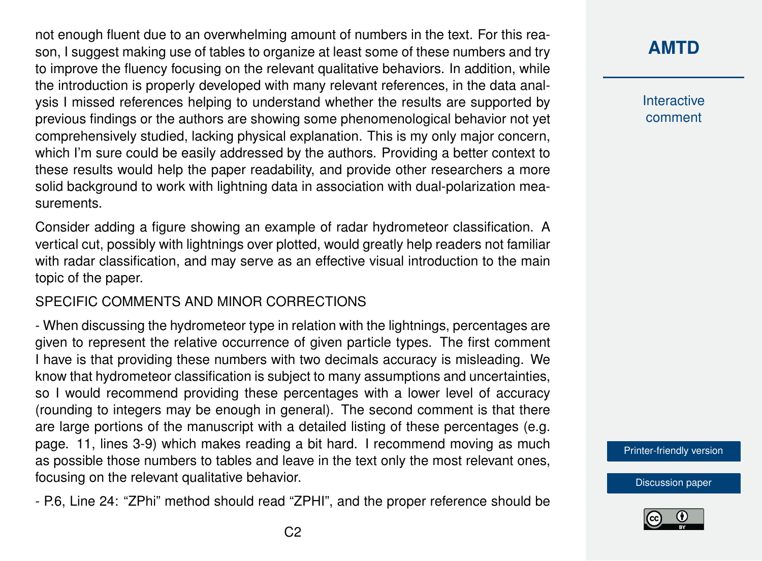not enough fluent due to an overwhelming amount of numbers in the text. For this reason, I suggest making use of tables to organize at least some of these numbers and try to improve the fluency focusing on the relevant qualitative behaviors. In addition, while the introduction is properly developed with many relevant references, in the data analysis I missed references helping to understand whether the results are supported by previous findings or the authors are showing some phenomenological behavior not yet comprehensively studied, lacking physical explanation. This is my only major concern, which I'm sure could be easily addressed by the authors. Providing a better context to these results would help the paper readability, and provide other researchers a more solid background to work with lightning data in association with dual-polarization measurements.

Consider adding a figure showing an example of radar hydrometeor classification. A vertical cut, possibly with lightnings over plotted, would greatly help readers not familiar with radar classification, and may serve as an effective visual introduction to the main topic of the paper.

## SPECIFIC COMMENTS AND MINOR CORRECTIONS

- When discussing the hydrometeor type in relation with the lightnings, percentages are given to represent the relative occurrence of given particle types. The first comment I have is that providing these numbers with two decimals accuracy is misleading. We know that hydrometeor classification is subject to many assumptions and uncertainties, so I would recommend providing these percentages with a lower level of accuracy (rounding to integers may be enough in general). The second comment is that there are large portions of the manuscript with a detailed listing of these percentages (e.g. page. 11, lines 3-9) which makes reading a bit hard. I recommend moving as much as possible those numbers to tables and leave in the text only the most relevant ones, focusing on the relevant qualitative behavior.

- P.6, Line 24: "ZPhi" method should read "ZPHI", and the proper reference should be

## **[AMTD](https://www.atmos-meas-tech-discuss.net/)**

**Interactive** comment

[Printer-friendly version](https://www.atmos-meas-tech-discuss.net/amt-2019-31/amt-2019-31-RC1-print.pdf)

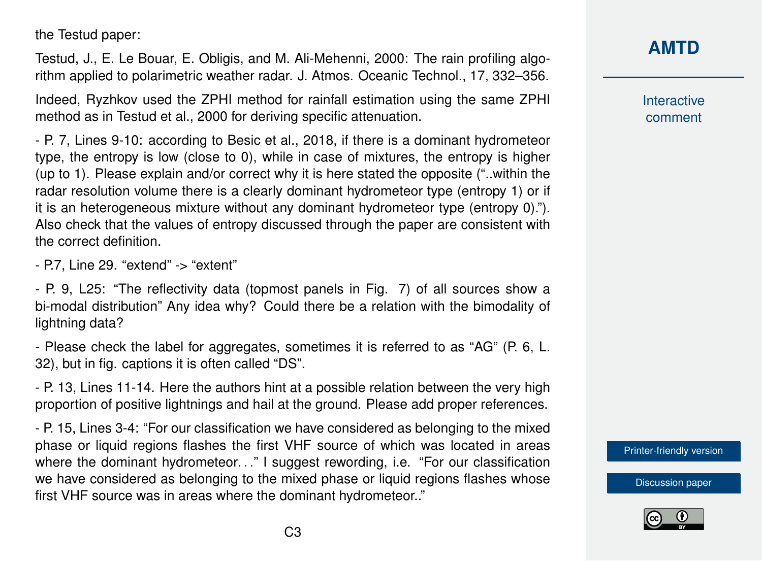the Testud paper:

Testud, J., E. Le Bouar, E. Obligis, and M. Ali-Mehenni, 2000: The rain profiling algorithm applied to polarimetric weather radar. J. Atmos. Oceanic Technol., 17, 332–356.

Indeed, Ryzhkov used the ZPHI method for rainfall estimation using the same ZPHI method as in Testud et al., 2000 for deriving specific attenuation.

- P. 7, Lines 9-10: according to Besic et al., 2018, if there is a dominant hydrometeor type, the entropy is low (close to 0), while in case of mixtures, the entropy is higher (up to 1). Please explain and/or correct why it is here stated the opposite ("..within the radar resolution volume there is a clearly dominant hydrometeor type (entropy 1) or if it is an heterogeneous mixture without any dominant hydrometeor type (entropy 0)."). Also check that the values of entropy discussed through the paper are consistent with the correct definition.

- P.7, Line 29. "extend" -> "extent"

- P. 9, L25: "The reflectivity data (topmost panels in Fig. 7) of all sources show a bi-modal distribution" Any idea why? Could there be a relation with the bimodality of lightning data?

- Please check the label for aggregates, sometimes it is referred to as "AG" (P. 6, L. 32), but in fig. captions it is often called "DS".

- P. 13, Lines 11-14. Here the authors hint at a possible relation between the very high proportion of positive lightnings and hail at the ground. Please add proper references.

- P. 15, Lines 3-4: "For our classification we have considered as belonging to the mixed phase or liquid regions flashes the first VHF source of which was located in areas where the dominant hydrometeor..." I suggest rewording, i.e. "For our classification we have considered as belonging to the mixed phase or liquid regions flashes whose first VHF source was in areas where the dominant hydrometeor.."



**Interactive** comment

[Printer-friendly version](https://www.atmos-meas-tech-discuss.net/amt-2019-31/amt-2019-31-RC1-print.pdf)